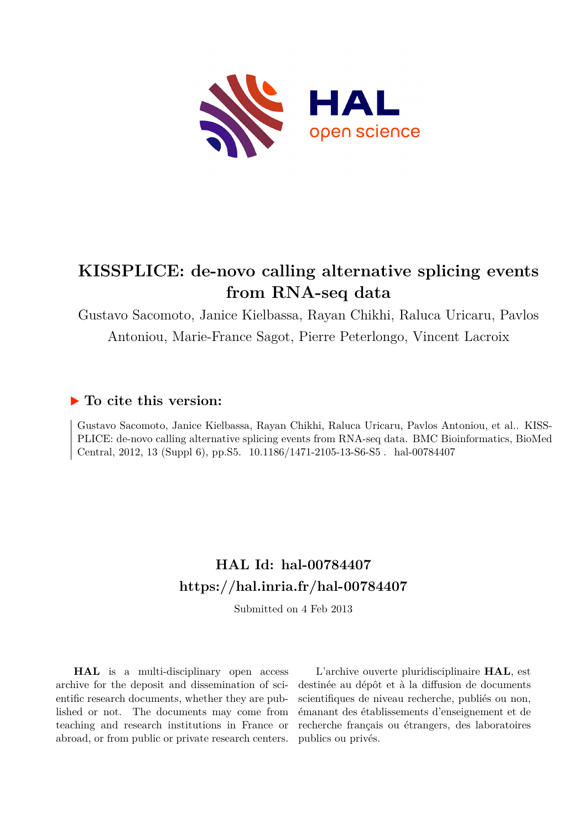

# **KISSPLICE: de-novo calling alternative splicing events from RNA-seq data**

Gustavo Sacomoto, Janice Kielbassa, Rayan Chikhi, Raluca Uricaru, Pavlos Antoniou, Marie-France Sagot, Pierre Peterlongo, Vincent Lacroix

# **To cite this version:**

Gustavo Sacomoto, Janice Kielbassa, Rayan Chikhi, Raluca Uricaru, Pavlos Antoniou, et al.. KISS-PLICE: de-novo calling alternative splicing events from RNA-seq data. BMC Bioinformatics, BioMed Central, 2012, 13 (Suppl 6), pp.S5. 10.1186/1471-2105-13-S6-S5. hal-00784407

# **HAL Id: hal-00784407 <https://hal.inria.fr/hal-00784407>**

Submitted on 4 Feb 2013

**HAL** is a multi-disciplinary open access archive for the deposit and dissemination of scientific research documents, whether they are published or not. The documents may come from teaching and research institutions in France or abroad, or from public or private research centers.

L'archive ouverte pluridisciplinaire **HAL**, est destinée au dépôt et à la diffusion de documents scientifiques de niveau recherche, publiés ou non, émanant des établissements d'enseignement et de recherche français ou étrangers, des laboratoires publics ou privés.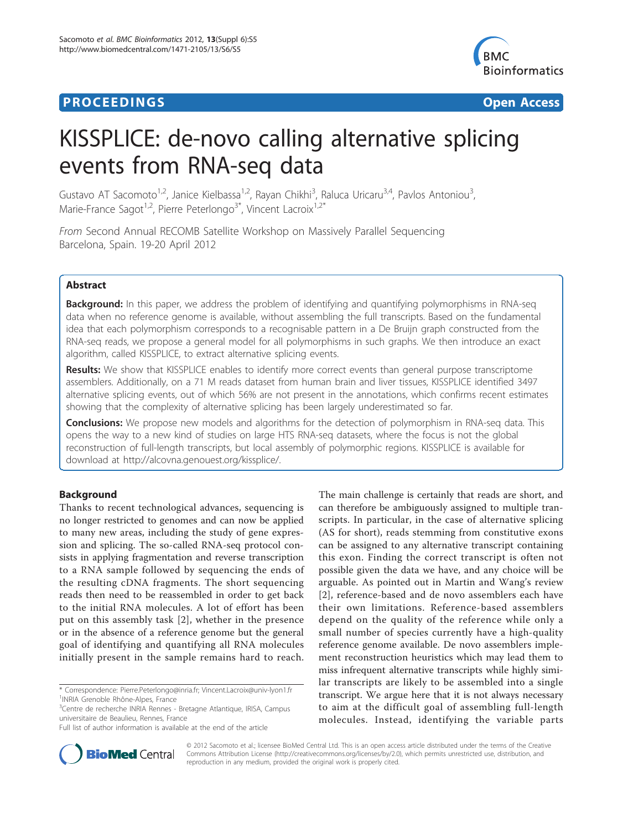# **PROCEEDINGS CONSIDERING S** Open Access **CONSIDERING S**



# KISSPLICE: de-novo calling alternative splicing events from RNA-seq data

Gustavo AT Sacomoto<sup>1,2</sup>, Janice Kielbassa<sup>1,2</sup>, Rayan Chikhi<sup>3</sup>, Raluca Uricaru<sup>3,4</sup>, Pavlos Antoniou<sup>3</sup> , Marie-France Sagot<sup>1,2</sup>, Pierre Peterlongo<sup>3\*</sup>, Vincent Lacroix<sup>1,2\*</sup>

From Second Annual RECOMB Satellite Workshop on Massively Parallel Sequencing Barcelona, Spain. 19-20 April 2012

#### Abstract

**Background:** In this paper, we address the problem of identifying and quantifying polymorphisms in RNA-seq data when no reference genome is available, without assembling the full transcripts. Based on the fundamental idea that each polymorphism corresponds to a recognisable pattern in a De Bruijn graph constructed from the RNA-seq reads, we propose a general model for all polymorphisms in such graphs. We then introduce an exact algorithm, called KISSPLICE, to extract alternative splicing events.

Results: We show that KISSPLICE enables to identify more correct events than general purpose transcriptome assemblers. Additionally, on a 71 M reads dataset from human brain and liver tissues, KISSPLICE identified 3497 alternative splicing events, out of which 56% are not present in the annotations, which confirms recent estimates showing that the complexity of alternative splicing has been largely underestimated so far.

**Conclusions:** We propose new models and algorithms for the detection of polymorphism in RNA-seq data. This opens the way to a new kind of studies on large HTS RNA-seq datasets, where the focus is not the global reconstruction of full-length transcripts, but local assembly of polymorphic regions. KISSPLICE is available for download at [http://alcovna.genouest.org/kissplice/.](http://alcovna.genouest.org/kissplice/)

#### Background

Thanks to recent technological advances, sequencing is no longer restricted to genomes and can now be applied to many new areas, including the study of gene expression and splicing. The so-called RNA-seq protocol consists in applying fragmentation and reverse transcription to a RNA sample followed by sequencing the ends of the resulting cDNA fragments. The short sequencing reads then need to be reassembled in order to get back to the initial RNA molecules. A lot of effort has been put on this assembly task [[2](#page-11-0)], whether in the presence or in the absence of a reference genome but the general goal of identifying and quantifying all RNA molecules initially present in the sample remains hard to reach.

\* Correspondence: [Pierre.Peterlongo@inria.fr](mailto:Pierre.Peterlongo@inria.fr); [Vincent.Lacroix@univ-lyon1.fr](mailto:Vincent.Lacroix@univ-lyon1.fr) <sup>1</sup>INRIA Grenoble Rhône-Alpes, France

<sup>3</sup>Centre de recherche INRIA Rennes - Bretagne Atlantique, IRISA, Campus universitaire de Beaulieu, Rennes, France

The main challenge is certainly that reads are short, and can therefore be ambiguously assigned to multiple transcripts. In particular, in the case of alternative splicing (AS for short), reads stemming from constitutive exons can be assigned to any alternative transcript containing this exon. Finding the correct transcript is often not possible given the data we have, and any choice will be arguable. As pointed out in Martin and Wang's review [[2](#page-11-0)], reference-based and de novo assemblers each have their own limitations. Reference-based assemblers depend on the quality of the reference while only a small number of species currently have a high-quality reference genome available. De novo assemblers implement reconstruction heuristics which may lead them to miss infrequent alternative transcripts while highly similar transcripts are likely to be assembled into a single transcript. We argue here that it is not always necessary to aim at the difficult goal of assembling full-length molecules. Instead, identifying the variable parts



© 2012 Sacomoto et al.; licensee BioMed Central Ltd. This is an open access article distributed under the terms of the Creative Commons Attribution License [\(http://creativecommons.org/licenses/by/2.0](http://creativecommons.org/licenses/by/2.0)), which permits unrestricted use, distribution, and reproduction in any medium, provided the original work is properly cited.

Full list of author information is available at the end of the article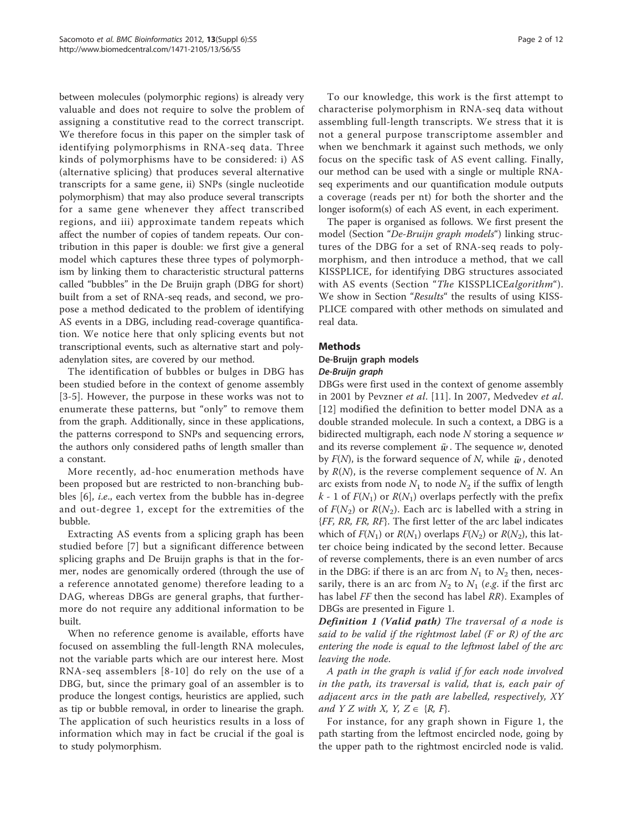between molecules (polymorphic regions) is already very valuable and does not require to solve the problem of assigning a constitutive read to the correct transcript. We therefore focus in this paper on the simpler task of identifying polymorphisms in RNA-seq data. Three kinds of polymorphisms have to be considered: i) AS (alternative splicing) that produces several alternative transcripts for a same gene, ii) SNPs (single nucleotide polymorphism) that may also produce several transcripts for a same gene whenever they affect transcribed regions, and iii) approximate tandem repeats which affect the number of copies of tandem repeats. Our contribution in this paper is double: we first give a general model which captures these three types of polymorphism by linking them to characteristic structural patterns called "bubbles" in the De Bruijn graph (DBG for short) built from a set of RNA-seq reads, and second, we propose a method dedicated to the problem of identifying AS events in a DBG, including read-coverage quantification. We notice here that only splicing events but not transcriptional events, such as alternative start and polyadenylation sites, are covered by our method.

The identification of bubbles or bulges in DBG has been studied before in the context of genome assembly [[3](#page-11-0)-[5\]](#page-11-0). However, the purpose in these works was not to enumerate these patterns, but "only" to remove them from the graph. Additionally, since in these applications, the patterns correspond to SNPs and sequencing errors, the authors only considered paths of length smaller than a constant.

More recently, ad-hoc enumeration methods have been proposed but are restricted to non-branching bubbles [[6\]](#page-11-0), i.e., each vertex from the bubble has in-degree and out-degree 1, except for the extremities of the bubble.

Extracting AS events from a splicing graph has been studied before [[7\]](#page-11-0) but a significant difference between splicing graphs and De Bruijn graphs is that in the former, nodes are genomically ordered (through the use of a reference annotated genome) therefore leading to a DAG, whereas DBGs are general graphs, that furthermore do not require any additional information to be built.

When no reference genome is available, efforts have focused on assembling the full-length RNA molecules, not the variable parts which are our interest here. Most RNA-seq assemblers [[8-10\]](#page-11-0) do rely on the use of a DBG, but, since the primary goal of an assembler is to produce the longest contigs, heuristics are applied, such as tip or bubble removal, in order to linearise the graph. The application of such heuristics results in a loss of information which may in fact be crucial if the goal is to study polymorphism.

To our knowledge, this work is the first attempt to characterise polymorphism in RNA-seq data without assembling full-length transcripts. We stress that it is not a general purpose transcriptome assembler and when we benchmark it against such methods, we only focus on the specific task of AS event calling. Finally, our method can be used with a single or multiple RNAseq experiments and our quantification module outputs a coverage (reads per nt) for both the shorter and the longer isoform(s) of each AS event, in each experiment.

The paper is organised as follows. We first present the model (Section "De-Bruijn graph models") linking structures of the DBG for a set of RNA-seq reads to polymorphism, and then introduce a method, that we call KISSPLICE, for identifying DBG structures associated with AS events (Section "The KISSPLICEalgorithm"). We show in Section "Results" the results of using KISS-PLICE compared with other methods on simulated and real data.

#### Methods

#### De-Bruijn graph models De-Bruijn graph

DBGs were first used in the context of genome assembly in 2001 by Pevzner et al. [[11\]](#page-11-0). In 2007, Medvedev et al. [[12](#page-11-0)] modified the definition to better model DNA as a double stranded molecule. In such a context, a DBG is a bidirected multigraph, each node  $N$  storing a sequence  $w$ and its reverse complement  $\bar{w}$ . The sequence w, denoted by  $F(N)$ , is the forward sequence of N, while  $\bar{w}$ , denoted by  $R(N)$ , is the reverse complement sequence of N. An arc exists from node  $N_1$  to node  $N_2$  if the suffix of length  $k$  - 1 of  $F(N_1)$  or  $R(N_1)$  overlaps perfectly with the prefix of  $F(N_2)$  or  $R(N_2)$ . Each arc is labelled with a string in {FF, RR, FR, RF}. The first letter of the arc label indicates which of  $F(N_1)$  or  $R(N_1)$  overlaps  $F(N_2)$  or  $R(N_2)$ , this latter choice being indicated by the second letter. Because of reverse complements, there is an even number of arcs in the DBG: if there is an arc from  $N_1$  to  $N_2$  then, necessarily, there is an arc from  $N_2$  to  $N_1$  (e.g. if the first arc has label FF then the second has label RR). Examples of DBGs are presented in Figure [1.](#page-3-0)

Definition 1 (Valid path) The traversal of a node is said to be valid if the rightmost label  $(F \text{ or } R)$  of the arc entering the node is equal to the leftmost label of the arc leaving the node.

A path in the graph is valid if for each node involved in the path, its traversal is valid, that is, each pair of adjacent arcs in the path are labelled, respectively, XY and Y Z with X, Y,  $Z \in \{R, F\}.$ 

For instance, for any graph shown in Figure [1,](#page-3-0) the path starting from the leftmost encircled node, going by the upper path to the rightmost encircled node is valid.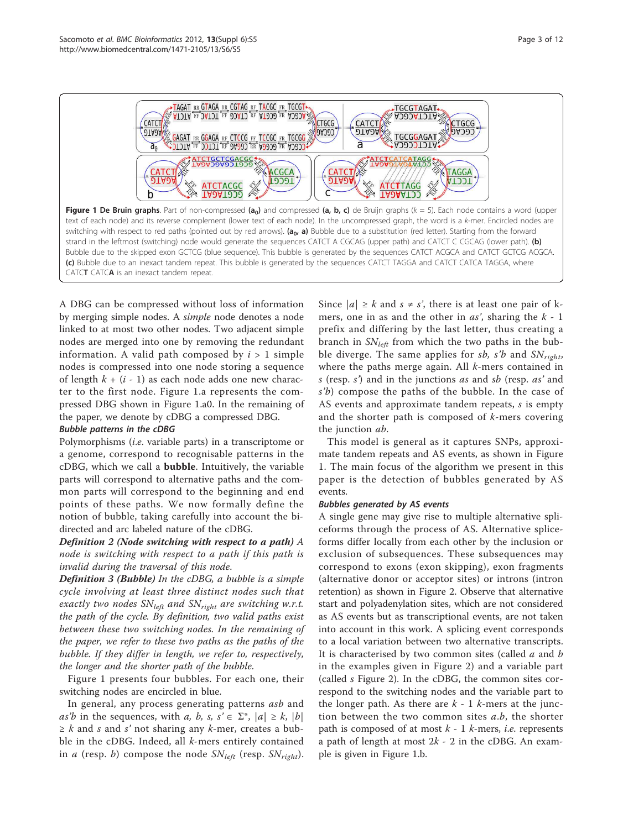

<span id="page-3-0"></span>

A DBG can be compressed without loss of information by merging simple nodes. A simple node denotes a node linked to at most two other nodes. Two adjacent simple nodes are merged into one by removing the redundant information. A valid path composed by  $i > 1$  simple nodes is compressed into one node storing a sequence of length  $k + (i - 1)$  as each node adds one new character to the first node. Figure 1.a represents the compressed DBG shown in Figure 1.a0. In the remaining of the paper, we denote by cDBG a compressed DBG.

## Bubble patterns in the cDBG

Polymorphisms (i.e. variable parts) in a transcriptome or a genome, correspond to recognisable patterns in the cDBG, which we call a bubble. Intuitively, the variable parts will correspond to alternative paths and the common parts will correspond to the beginning and end points of these paths. We now formally define the notion of bubble, taking carefully into account the bidirected and arc labeled nature of the cDBG.

## Definition 2 (Node switching with respect to a path) A node is switching with respect to a path if this path is invalid during the traversal of this node.

Definition 3 (Bubble) In the cDBG, a bubble is a simple cycle involving at least three distinct nodes such that exactly two nodes  $SN_{left}$  and  $SN_{right}$  are switching w.r.t. the path of the cycle. By definition, two valid paths exist between these two switching nodes. In the remaining of the paper, we refer to these two paths as the paths of the bubble. If they differ in length, we refer to, respectively, the longer and the shorter path of the bubble.

Figure 1 presents four bubbles. For each one, their switching nodes are encircled in blue.

In general, any process generating patterns *asb* and *as'b* in the sequences, with *a*, *b*, *s*, *s'*  $\in \Sigma^*$ ,  $|a| \ge k$ ,  $|b|$  $\geq k$  and s and s' not sharing any k-mer, creates a bubble in the cDBG. Indeed, all k-mers entirely contained in *a* (resp. *b*) compose the node  $SN_{left}$  (resp.  $SN_{right}$ ). Since  $|a| \ge k$  and  $s \ne s'$ , there is at least one pair of kmers, one in as and the other in  $as'$ , sharing the  $k - 1$ prefix and differing by the last letter, thus creating a branch in  $SN_{left}$  from which the two paths in the bubble diverge. The same applies for sb, s'b and  $SN_{\text{right}}$ , where the paths merge again. All  $k$ -mers contained in s (resp.  $s'$ ) and in the junctions as and sb (resp. as' and s'b) compose the paths of the bubble. In the case of AS events and approximate tandem repeats, s is empty and the shorter path is composed of  $k$ -mers covering the junction ab.

This model is general as it captures SNPs, approximate tandem repeats and AS events, as shown in Figure 1. The main focus of the algorithm we present in this paper is the detection of bubbles generated by AS events.

#### Bubbles generated by AS events

A single gene may give rise to multiple alternative spliceforms through the process of AS. Alternative spliceforms differ locally from each other by the inclusion or exclusion of subsequences. These subsequences may correspond to exons (exon skipping), exon fragments (alternative donor or acceptor sites) or introns (intron retention) as shown in Figure [2.](#page-4-0) Observe that alternative start and polyadenylation sites, which are not considered as AS events but as transcriptional events, are not taken into account in this work. A splicing event corresponds to a local variation between two alternative transcripts. It is characterised by two common sites (called  $a$  and  $b$ in the examples given in Figure [2](#page-4-0)) and a variable part (called s Figure [2](#page-4-0)). In the cDBG, the common sites correspond to the switching nodes and the variable part to the longer path. As there are  $k - 1$  k-mers at the junction between the two common sites  $a.b$ , the shorter path is composed of at most  $k - 1$  k-mers, *i.e.* represents a path of length at most  $2k - 2$  in the cDBG. An example is given in Figure 1.b.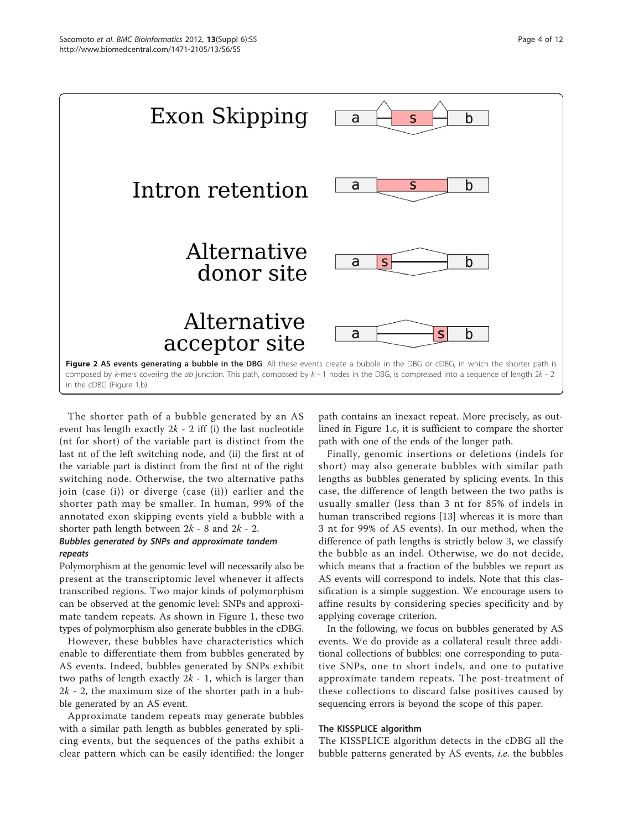<span id="page-4-0"></span>

The shorter path of a bubble generated by an AS event has length exactly  $2k - 2$  iff (i) the last nucleotide (nt for short) of the variable part is distinct from the last nt of the left switching node, and (ii) the first nt of the variable part is distinct from the first nt of the right switching node. Otherwise, the two alternative paths join (case (i)) or diverge (case (ii)) earlier and the shorter path may be smaller. In human, 99% of the annotated exon skipping events yield a bubble with a shorter path length between  $2k - 8$  and  $2k - 2$ .

## Bubbles generated by SNPs and approximate tandem repeats

Polymorphism at the genomic level will necessarily also be present at the transcriptomic level whenever it affects transcribed regions. Two major kinds of polymorphism can be observed at the genomic level: SNPs and approximate tandem repeats. As shown in Figure [1](#page-3-0), these two types of polymorphism also generate bubbles in the cDBG.

However, these bubbles have characteristics which enable to differentiate them from bubbles generated by AS events. Indeed, bubbles generated by SNPs exhibit two paths of length exactly  $2k - 1$ , which is larger than  $2k - 2$ , the maximum size of the shorter path in a bubble generated by an AS event.

Approximate tandem repeats may generate bubbles with a similar path length as bubbles generated by splicing events, but the sequences of the paths exhibit a clear pattern which can be easily identified: the longer

path contains an inexact repeat. More precisely, as outlined in Figure [1.c](#page-3-0), it is sufficient to compare the shorter path with one of the ends of the longer path.

Finally, genomic insertions or deletions (indels for short) may also generate bubbles with similar path lengths as bubbles generated by splicing events. In this case, the difference of length between the two paths is usually smaller (less than 3 nt for 85% of indels in human transcribed regions [\[13](#page-11-0)] whereas it is more than 3 nt for 99% of AS events). In our method, when the difference of path lengths is strictly below 3, we classify the bubble as an indel. Otherwise, we do not decide, which means that a fraction of the bubbles we report as AS events will correspond to indels. Note that this classification is a simple suggestion. We encourage users to affine results by considering species specificity and by applying coverage criterion.

In the following, we focus on bubbles generated by AS events. We do provide as a collateral result three additional collections of bubbles: one corresponding to putative SNPs, one to short indels, and one to putative approximate tandem repeats. The post-treatment of these collections to discard false positives caused by sequencing errors is beyond the scope of this paper.

#### The KISSPLICE algorithm

The KISSPLICE algorithm detects in the cDBG all the bubble patterns generated by AS events, i.e. the bubbles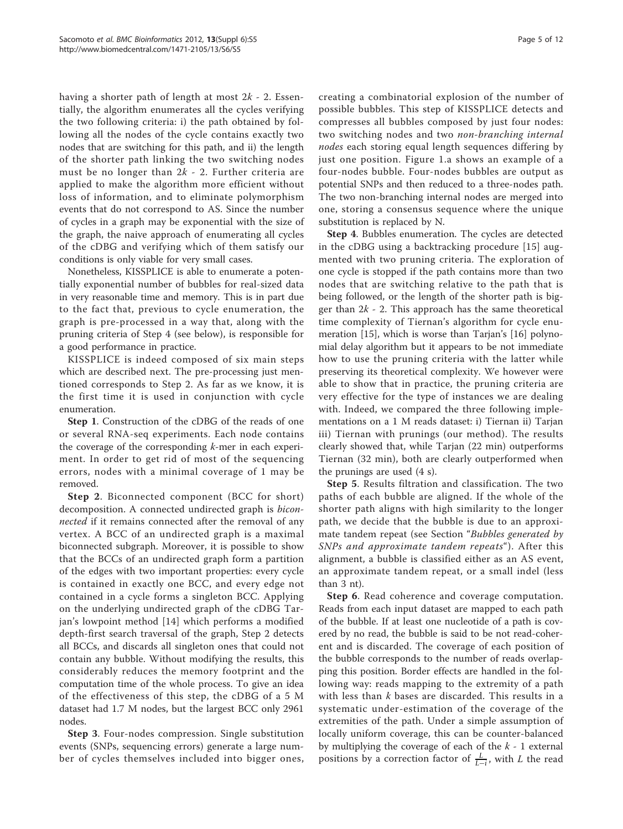having a shorter path of length at most  $2k - 2$ . Essentially, the algorithm enumerates all the cycles verifying the two following criteria: i) the path obtained by following all the nodes of the cycle contains exactly two nodes that are switching for this path, and ii) the length of the shorter path linking the two switching nodes must be no longer than  $2k - 2$ . Further criteria are applied to make the algorithm more efficient without loss of information, and to eliminate polymorphism events that do not correspond to AS. Since the number of cycles in a graph may be exponential with the size of the graph, the naive approach of enumerating all cycles of the cDBG and verifying which of them satisfy our conditions is only viable for very small cases.

Nonetheless, KISSPLICE is able to enumerate a potentially exponential number of bubbles for real-sized data in very reasonable time and memory. This is in part due to the fact that, previous to cycle enumeration, the graph is pre-processed in a way that, along with the pruning criteria of Step 4 (see below), is responsible for a good performance in practice.

KISSPLICE is indeed composed of six main steps which are described next. The pre-processing just mentioned corresponds to Step 2. As far as we know, it is the first time it is used in conjunction with cycle enumeration.

Step 1. Construction of the cDBG of the reads of one or several RNA-seq experiments. Each node contains the coverage of the corresponding k-mer in each experiment. In order to get rid of most of the sequencing errors, nodes with a minimal coverage of 1 may be removed.

Step 2. Biconnected component (BCC for short) decomposition. A connected undirected graph is biconnected if it remains connected after the removal of any vertex. A BCC of an undirected graph is a maximal biconnected subgraph. Moreover, it is possible to show that the BCCs of an undirected graph form a partition of the edges with two important properties: every cycle is contained in exactly one BCC, and every edge not contained in a cycle forms a singleton BCC. Applying on the underlying undirected graph of the cDBG Tarjan's lowpoint method [[14\]](#page-11-0) which performs a modified depth-first search traversal of the graph, Step 2 detects all BCCs, and discards all singleton ones that could not contain any bubble. Without modifying the results, this considerably reduces the memory footprint and the computation time of the whole process. To give an idea of the effectiveness of this step, the cDBG of a 5 M dataset had 1.7 M nodes, but the largest BCC only 2961 nodes.

Step 3. Four-nodes compression. Single substitution events (SNPs, sequencing errors) generate a large number of cycles themselves included into bigger ones,

creating a combinatorial explosion of the number of possible bubbles. This step of KISSPLICE detects and compresses all bubbles composed by just four nodes: two switching nodes and two non-branching internal nodes each storing equal length sequences differing by just one position. Figure [1.a](#page-3-0) shows an example of a four-nodes bubble. Four-nodes bubbles are output as potential SNPs and then reduced to a three-nodes path. The two non-branching internal nodes are merged into one, storing a consensus sequence where the unique substitution is replaced by N.

Step 4. Bubbles enumeration. The cycles are detected in the cDBG using a backtracking procedure [\[15](#page-11-0)] augmented with two pruning criteria. The exploration of one cycle is stopped if the path contains more than two nodes that are switching relative to the path that is being followed, or the length of the shorter path is bigger than  $2k - 2$ . This approach has the same theoretical time complexity of Tiernan's algorithm for cycle enumeration [[15\]](#page-11-0), which is worse than Tarjan's [\[16\]](#page-11-0) polynomial delay algorithm but it appears to be not immediate how to use the pruning criteria with the latter while preserving its theoretical complexity. We however were able to show that in practice, the pruning criteria are very effective for the type of instances we are dealing with. Indeed, we compared the three following implementations on a 1 M reads dataset: i) Tiernan ii) Tarjan iii) Tiernan with prunings (our method). The results clearly showed that, while Tarjan (22 min) outperforms Tiernan (32 min), both are clearly outperformed when the prunings are used (4 s).

Step 5. Results filtration and classification. The two paths of each bubble are aligned. If the whole of the shorter path aligns with high similarity to the longer path, we decide that the bubble is due to an approximate tandem repeat (see Section "Bubbles generated by SNPs and approximate tandem repeats"). After this alignment, a bubble is classified either as an AS event, an approximate tandem repeat, or a small indel (less than 3 nt).

Step 6. Read coherence and coverage computation. Reads from each input dataset are mapped to each path of the bubble. If at least one nucleotide of a path is covered by no read, the bubble is said to be not read-coherent and is discarded. The coverage of each position of the bubble corresponds to the number of reads overlapping this position. Border effects are handled in the following way: reads mapping to the extremity of a path with less than  $k$  bases are discarded. This results in a systematic under-estimation of the coverage of the extremities of the path. Under a simple assumption of locally uniform coverage, this can be counter-balanced by multiplying the coverage of each of the  $k - 1$  external positions by a correction factor of  $\frac{L}{L-i}$ , with L the read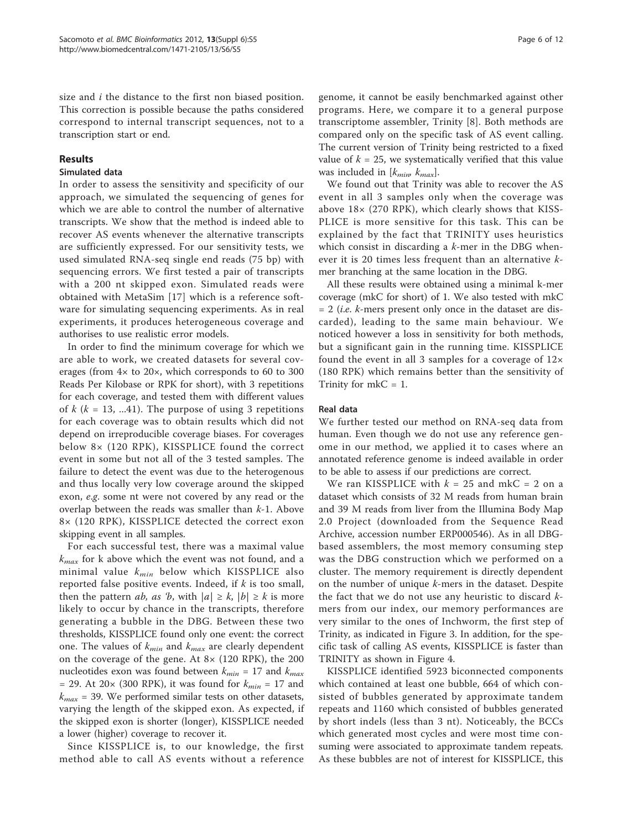size and  $i$  the distance to the first non biased position. This correction is possible because the paths considered correspond to internal transcript sequences, not to a transcription start or end.

#### Results

#### Simulated data

In order to assess the sensitivity and specificity of our approach, we simulated the sequencing of genes for which we are able to control the number of alternative transcripts. We show that the method is indeed able to recover AS events whenever the alternative transcripts are sufficiently expressed. For our sensitivity tests, we used simulated RNA-seq single end reads (75 bp) with sequencing errors. We first tested a pair of transcripts with a 200 nt skipped exon. Simulated reads were obtained with MetaSim [[17](#page-11-0)] which is a reference software for simulating sequencing experiments. As in real experiments, it produces heterogeneous coverage and authorises to use realistic error models.

In order to find the minimum coverage for which we are able to work, we created datasets for several coverages (from 4× to 20×, which corresponds to 60 to 300 Reads Per Kilobase or RPK for short), with 3 repetitions for each coverage, and tested them with different values of  $k$  ( $k = 13, ...41$ ). The purpose of using 3 repetitions for each coverage was to obtain results which did not depend on irreproducible coverage biases. For coverages below 8× (120 RPK), KISSPLICE found the correct event in some but not all of the 3 tested samples. The failure to detect the event was due to the heterogenous and thus locally very low coverage around the skipped exon, e.g. some nt were not covered by any read or the overlap between the reads was smaller than  $k-1$ . Above 8× (120 RPK), KISSPLICE detected the correct exon skipping event in all samples.

For each successful test, there was a maximal value  $k_{max}$  for k above which the event was not found, and a minimal value  $k_{min}$  below which KISSPLICE also reported false positive events. Indeed, if  $k$  is too small, then the pattern *ab*, *as* '*b*, with  $|a| \ge k$ ,  $|b| \ge k$  is more likely to occur by chance in the transcripts, therefore generating a bubble in the DBG. Between these two thresholds, KISSPLICE found only one event: the correct one. The values of  $k_{min}$  and  $k_{max}$  are clearly dependent on the coverage of the gene. At 8× (120 RPK), the 200 nucleotides exon was found between  $k_{min} = 17$  and  $k_{max}$ = 29. At 20 $\times$  (300 RPK), it was found for  $k_{min}$  = 17 and  $k_{max}$  = 39. We performed similar tests on other datasets, varying the length of the skipped exon. As expected, if the skipped exon is shorter (longer), KISSPLICE needed a lower (higher) coverage to recover it.

Since KISSPLICE is, to our knowledge, the first method able to call AS events without a reference

genome, it cannot be easily benchmarked against other programs. Here, we compare it to a general purpose transcriptome assembler, Trinity [\[8](#page-11-0)]. Both methods are compared only on the specific task of AS event calling. The current version of Trinity being restricted to a fixed value of  $k = 25$ , we systematically verified that this value was included in  $[k_{min}, k_{max}]$ .

We found out that Trinity was able to recover the AS event in all 3 samples only when the coverage was above 18× (270 RPK), which clearly shows that KISS-PLICE is more sensitive for this task. This can be explained by the fact that TRINITY uses heuristics which consist in discarding a  $k$ -mer in the DBG whenever it is 20 times less frequent than an alternative  $k$ mer branching at the same location in the DBG.

All these results were obtained using a minimal k-mer coverage (mkC for short) of 1. We also tested with mkC  $= 2$  (*i.e.* k-mers present only once in the dataset are discarded), leading to the same main behaviour. We noticed however a loss in sensitivity for both methods, but a significant gain in the running time. KISSPLICE found the event in all 3 samples for a coverage of  $12\times$ (180 RPK) which remains better than the sensitivity of Trinity for mkC  $= 1$ .

#### Real data

We further tested our method on RNA-seq data from human. Even though we do not use any reference genome in our method, we applied it to cases where an annotated reference genome is indeed available in order to be able to assess if our predictions are correct.

We ran KISSPLICE with  $k = 25$  and mkC = 2 on a dataset which consists of 32 M reads from human brain and 39 M reads from liver from the Illumina Body Map 2.0 Project (downloaded from the Sequence Read Archive, accession number ERP000546). As in all DBGbased assemblers, the most memory consuming step was the DBG construction which we performed on a cluster. The memory requirement is directly dependent on the number of unique k-mers in the dataset. Despite the fact that we do not use any heuristic to discard kmers from our index, our memory performances are very similar to the ones of Inchworm, the first step of Trinity, as indicated in Figure [3.](#page-7-0) In addition, for the specific task of calling AS events, KISSPLICE is faster than TRINITY as shown in Figure [4.](#page-8-0)

KISSPLICE identified 5923 biconnected components which contained at least one bubble, 664 of which consisted of bubbles generated by approximate tandem repeats and 1160 which consisted of bubbles generated by short indels (less than 3 nt). Noticeably, the BCCs which generated most cycles and were most time consuming were associated to approximate tandem repeats. As these bubbles are not of interest for KISSPLICE, this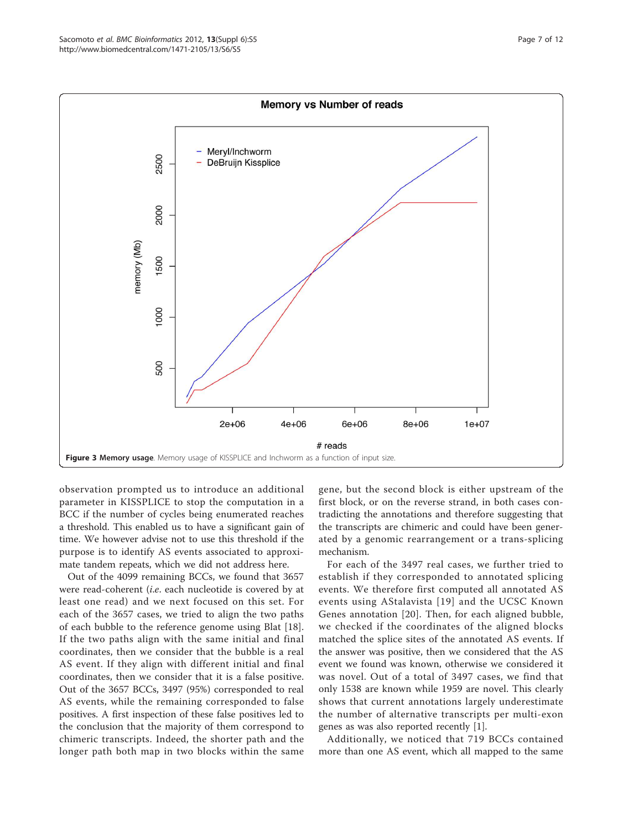<span id="page-7-0"></span>

observation prompted us to introduce an additional parameter in KISSPLICE to stop the computation in a BCC if the number of cycles being enumerated reaches a threshold. This enabled us to have a significant gain of time. We however advise not to use this threshold if the purpose is to identify AS events associated to approximate tandem repeats, which we did not address here.

Out of the 4099 remaining BCCs, we found that 3657 were read-coherent (i.e. each nucleotide is covered by at least one read) and we next focused on this set. For each of the 3657 cases, we tried to align the two paths of each bubble to the reference genome using Blat [\[18](#page-11-0)]. If the two paths align with the same initial and final coordinates, then we consider that the bubble is a real AS event. If they align with different initial and final coordinates, then we consider that it is a false positive. Out of the 3657 BCCs, 3497 (95%) corresponded to real AS events, while the remaining corresponded to false positives. A first inspection of these false positives led to the conclusion that the majority of them correspond to chimeric transcripts. Indeed, the shorter path and the longer path both map in two blocks within the same

gene, but the second block is either upstream of the first block, or on the reverse strand, in both cases contradicting the annotations and therefore suggesting that the transcripts are chimeric and could have been generated by a genomic rearrangement or a trans-splicing mechanism.

For each of the 3497 real cases, we further tried to establish if they corresponded to annotated splicing events. We therefore first computed all annotated AS events using AStalavista [[19\]](#page-11-0) and the UCSC Known Genes annotation [\[20\]](#page-12-0). Then, for each aligned bubble, we checked if the coordinates of the aligned blocks matched the splice sites of the annotated AS events. If the answer was positive, then we considered that the AS event we found was known, otherwise we considered it was novel. Out of a total of 3497 cases, we find that only 1538 are known while 1959 are novel. This clearly shows that current annotations largely underestimate the number of alternative transcripts per multi-exon genes as was also reported recently [[1\]](#page-11-0).

Additionally, we noticed that 719 BCCs contained more than one AS event, which all mapped to the same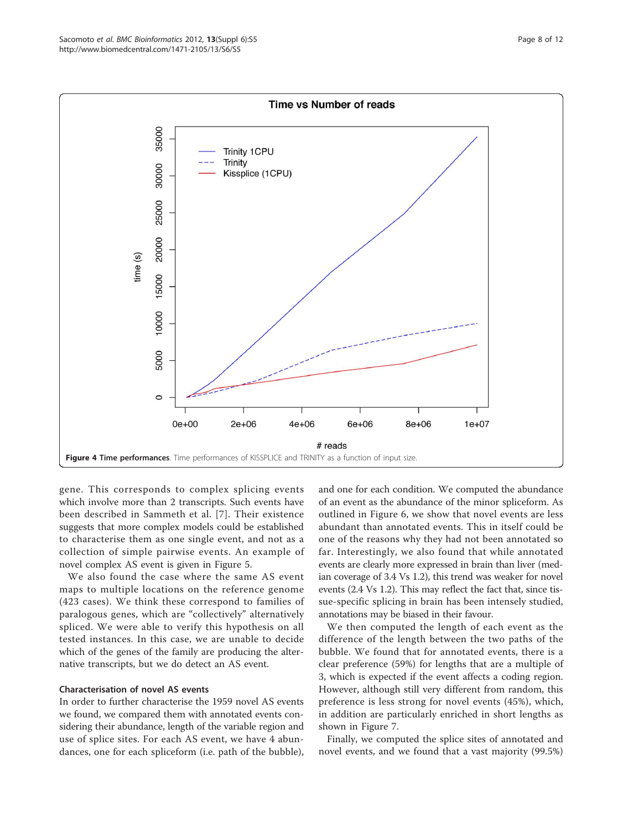<span id="page-8-0"></span>

gene. This corresponds to complex splicing events which involve more than 2 transcripts. Such events have been described in Sammeth et al. [\[7\]](#page-11-0). Their existence suggests that more complex models could be established to characterise them as one single event, and not as a collection of simple pairwise events. An example of novel complex AS event is given in Figure [5.](#page-9-0)

We also found the case where the same AS event maps to multiple locations on the reference genome (423 cases). We think these correspond to families of paralogous genes, which are "collectively" alternatively spliced. We were able to verify this hypothesis on all tested instances. In this case, we are unable to decide which of the genes of the family are producing the alternative transcripts, but we do detect an AS event.

#### Characterisation of novel AS events

In order to further characterise the 1959 novel AS events we found, we compared them with annotated events considering their abundance, length of the variable region and use of splice sites. For each AS event, we have 4 abundances, one for each spliceform (i.e. path of the bubble), and one for each condition. We computed the abundance of an event as the abundance of the minor spliceform. As outlined in Figure [6,](#page-9-0) we show that novel events are less abundant than annotated events. This in itself could be one of the reasons why they had not been annotated so far. Interestingly, we also found that while annotated events are clearly more expressed in brain than liver (median coverage of 3.4 Vs 1.2), this trend was weaker for novel events (2.4 Vs 1.2). This may reflect the fact that, since tissue-specific splicing in brain has been intensely studied, annotations may be biased in their favour.

We then computed the length of each event as the difference of the length between the two paths of the bubble. We found that for annotated events, there is a clear preference (59%) for lengths that are a multiple of 3, which is expected if the event affects a coding region. However, although still very different from random, this preference is less strong for novel events (45%), which, in addition are particularly enriched in short lengths as shown in Figure [7](#page-10-0).

Finally, we computed the splice sites of annotated and novel events, and we found that a vast majority (99.5%)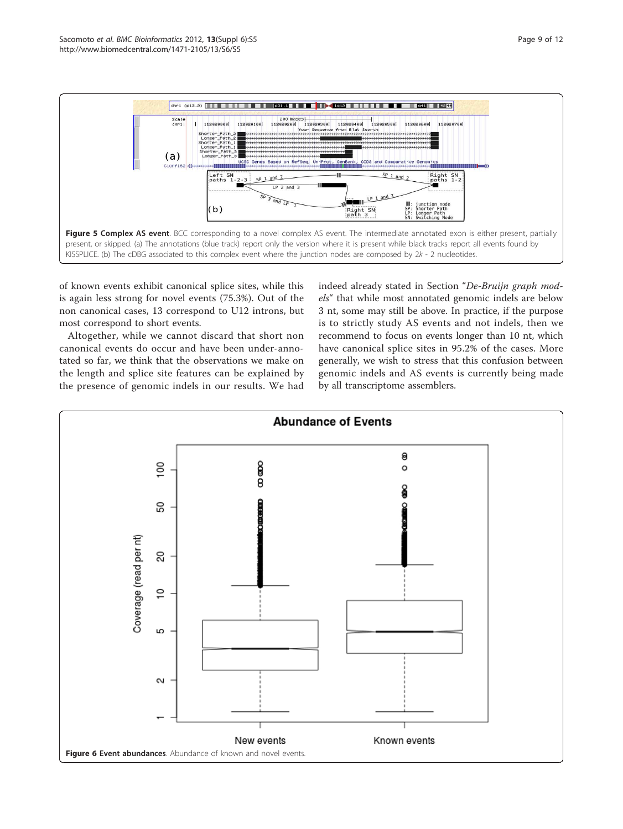<span id="page-9-0"></span>

of known events exhibit canonical splice sites, while this is again less strong for novel events (75.3%). Out of the non canonical cases, 13 correspond to U12 introns, but most correspond to short events.

Altogether, while we cannot discard that short non canonical events do occur and have been under-annotated so far, we think that the observations we make on the length and splice site features can be explained by the presence of genomic indels in our results. We had

indeed already stated in Section "De-Bruijn graph models" that while most annotated genomic indels are below 3 nt, some may still be above. In practice, if the purpose is to strictly study AS events and not indels, then we recommend to focus on events longer than 10 nt, which have canonical splice sites in 95.2% of the cases. More generally, we wish to stress that this confusion between genomic indels and AS events is currently being made by all transcriptome assemblers.

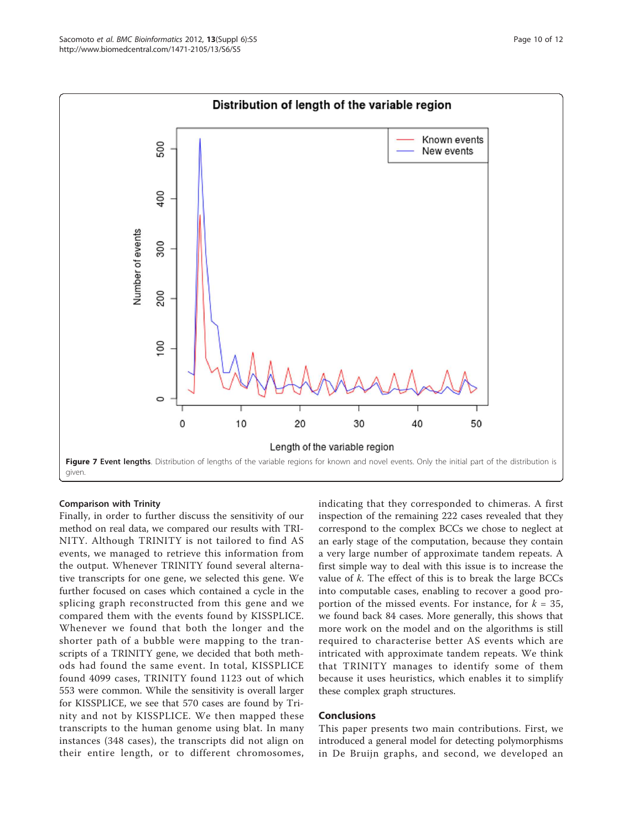

<span id="page-10-0"></span>

#### Comparison with Trinity

Finally, in order to further discuss the sensitivity of our method on real data, we compared our results with TRI-NITY. Although TRINITY is not tailored to find AS events, we managed to retrieve this information from the output. Whenever TRINITY found several alternative transcripts for one gene, we selected this gene. We further focused on cases which contained a cycle in the splicing graph reconstructed from this gene and we compared them with the events found by KISSPLICE. Whenever we found that both the longer and the shorter path of a bubble were mapping to the transcripts of a TRINITY gene, we decided that both methods had found the same event. In total, KISSPLICE found 4099 cases, TRINITY found 1123 out of which 553 were common. While the sensitivity is overall larger for KISSPLICE, we see that 570 cases are found by Trinity and not by KISSPLICE. We then mapped these transcripts to the human genome using blat. In many instances (348 cases), the transcripts did not align on their entire length, or to different chromosomes, indicating that they corresponded to chimeras. A first inspection of the remaining 222 cases revealed that they correspond to the complex BCCs we chose to neglect at an early stage of the computation, because they contain a very large number of approximate tandem repeats. A first simple way to deal with this issue is to increase the value of  $k$ . The effect of this is to break the large BCCs into computable cases, enabling to recover a good proportion of the missed events. For instance, for  $k = 35$ , we found back 84 cases. More generally, this shows that more work on the model and on the algorithms is still required to characterise better AS events which are intricated with approximate tandem repeats. We think that TRINITY manages to identify some of them because it uses heuristics, which enables it to simplify these complex graph structures.

## Conclusions

This paper presents two main contributions. First, we introduced a general model for detecting polymorphisms in De Bruijn graphs, and second, we developed an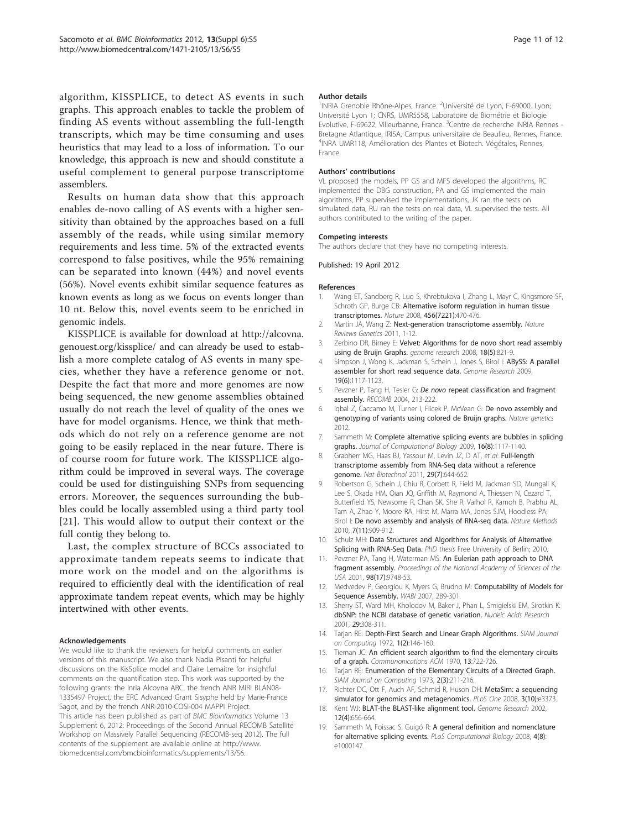<span id="page-11-0"></span>algorithm, KISSPLICE, to detect AS events in such graphs. This approach enables to tackle the problem of finding AS events without assembling the full-length transcripts, which may be time consuming and uses heuristics that may lead to a loss of information. To our knowledge, this approach is new and should constitute a useful complement to general purpose transcriptome assemblers.

Results on human data show that this approach enables de-novo calling of AS events with a higher sensitivity than obtained by the approaches based on a full assembly of the reads, while using similar memory requirements and less time. 5% of the extracted events correspond to false positives, while the 95% remaining can be separated into known (44%) and novel events (56%). Novel events exhibit similar sequence features as known events as long as we focus on events longer than 10 nt. Below this, novel events seem to be enriched in genomic indels.

KISSPLICE is available for download at [http://alcovna.](http://alcovna.genouest.org/kissplice/) [genouest.org/kissplice/](http://alcovna.genouest.org/kissplice/) and can already be used to establish a more complete catalog of AS events in many species, whether they have a reference genome or not. Despite the fact that more and more genomes are now being sequenced, the new genome assemblies obtained usually do not reach the level of quality of the ones we have for model organisms. Hence, we think that methods which do not rely on a reference genome are not going to be easily replaced in the near future. There is of course room for future work. The KISSPLICE algorithm could be improved in several ways. The coverage could be used for distinguishing SNPs from sequencing errors. Moreover, the sequences surrounding the bubbles could be locally assembled using a third party tool [[21\]](#page-12-0). This would allow to output their context or the full contig they belong to.

Last, the complex structure of BCCs associated to approximate tandem repeats seems to indicate that more work on the model and on the algorithms is required to efficiently deal with the identification of real approximate tandem repeat events, which may be highly intertwined with other events.

#### Acknowledgements

We would like to thank the reviewers for helpful comments on earlier versions of this manuscript. We also thank Nadia Pisanti for helpful discussions on the KisSplice model and Claire Lemaitre for insightful comments on the quantification step. This work was supported by the following grants: the Inria Alcovna ARC, the french ANR MIRI BLAN08- 1335497 Project, the ERC Advanced Grant Sisyphe held by Marie-France Sagot, and by the french ANR-2010-COSI-004 MAPPI Project. This article has been published as part of BMC Bioinformatics Volume 13 Supplement 6, 2012: Proceedings of the Second Annual RECOMB Satellite Workshop on Massively Parallel Sequencing (RECOMB-seq 2012). The full contents of the supplement are available online at [http://www.](http://www.biomedcentral.com/bmcbioinformatics/supplements/13/S6) [biomedcentral.com/bmcbioinformatics/supplements/13/S6.](http://www.biomedcentral.com/bmcbioinformatics/supplements/13/S6)

#### Author details

<sup>1</sup>INRIA Grenoble Rhône-Alpes, France. <sup>2</sup>Université de Lyon, F-69000, Lyon Université Lyon 1; CNRS, UMR5558, Laboratoire de Biométrie et Biologie Evolutive, F-69622, Villeurbanne, France. <sup>3</sup>Centre de recherche INRIA Rennes -Bretagne Atlantique, IRISA, Campus universitaire de Beaulieu, Rennes, France. 4 INRA UMR118, Amélioration des Plantes et Biotech. Végétales, Rennes, France.

#### Authors' contributions

VL proposed the models, PP GS and MFS developed the algorithms, RC implemented the DBG construction, PA and GS implemented the main algorithms, PP supervised the implementations. IK ran the tests on simulated data, RU ran the tests on real data, VL supervised the tests. All authors contributed to the writing of the paper.

#### Competing interests

The authors declare that they have no competing interests.

Published: 19 April 2012

#### References

- Wang ET, Sandberg R, Luo S, Khrebtukova I, Zhang L, Mayr C, Kingsmore SF, Schroth GP, Burge CB: [Alternative isoform regulation in human tissue](http://www.ncbi.nlm.nih.gov/pubmed/18978772?dopt=Abstract) [transcriptomes.](http://www.ncbi.nlm.nih.gov/pubmed/18978772?dopt=Abstract) Nature 2008, 456(7221):470-476.
- Martin JA, Wang Z: Next-generation transcriptome assembly. Nature Reviews Genetics 2011, 1-12.
- 3. Zerbino DR, Birney E: [Velvet: Algorithms for de novo short read assembly](http://www.ncbi.nlm.nih.gov/pubmed/18349386?dopt=Abstract) [using de Bruijn Graphs.](http://www.ncbi.nlm.nih.gov/pubmed/18349386?dopt=Abstract) genome research 2008, 18(5):821-9.
- 4. Simpson J, Wong K, Jackman S, Schein J, Jones S, Birol I: [ABySS: A parallel](http://www.ncbi.nlm.nih.gov/pubmed/19251739?dopt=Abstract) [assembler for short read sequence data.](http://www.ncbi.nlm.nih.gov/pubmed/19251739?dopt=Abstract) Genome Research 2009, 19(6):1117-1123.
- 5. Pevzner P, Tang H, Tesler G: De novo repeat classification and fragment assembly. RECOMB 2004, 213-222.
- 6. Iqbal Z, Caccamo M, Turner I, Flicek P, McVean G: De novo assembly and genotyping of variants using colored de Bruijn graphs. Nature genetics 2012.
- 7. Sammeth M: [Complete alternative splicing events are bubbles in splicing](http://www.ncbi.nlm.nih.gov/pubmed/19689216?dopt=Abstract) [graphs.](http://www.ncbi.nlm.nih.gov/pubmed/19689216?dopt=Abstract) Journal of Computational Biology 2009, 16(8):1117-1140.
- 8. Grabherr MG, Haas BJ, Yassour M, Levin JZ, D AT, et al: [Full-length](http://www.ncbi.nlm.nih.gov/pubmed/21572440?dopt=Abstract) [transcriptome assembly from RNA-Seq data without a reference](http://www.ncbi.nlm.nih.gov/pubmed/21572440?dopt=Abstract) [genome.](http://www.ncbi.nlm.nih.gov/pubmed/21572440?dopt=Abstract) Nat Biotechnol 2011, 29(7):644-652.
- 9. Robertson G, Schein J, Chiu R, Corbett R, Field M, Jackman SD, Mungall K, Lee S, Okada HM, Qian JQ, Griffith M, Raymond A, Thiessen N, Cezard T, Butterfield YS, Newsome R, Chan SK, She R, Varhol R, Kamoh B, Prabhu AL, Tam A, Zhao Y, Moore RA, Hirst M, Marra MA, Jones SJM, Hoodless PA, Birol I: [De novo assembly and analysis of RNA-seq data.](http://www.ncbi.nlm.nih.gov/pubmed/20935650?dopt=Abstract) Nature Methods 2010, 7(11):909-912.
- 10. Schulz MH: Data Structures and Algorithms for Analysis of Alternative Splicing with RNA-Seq Data. PhD thesis Free University of Berlin; 2010.
- 11. Pevzner PA, Tang H, Waterman MS: [An Eulerian path approach to DNA](http://www.ncbi.nlm.nih.gov/pubmed/11504945?dopt=Abstract) [fragment assembly.](http://www.ncbi.nlm.nih.gov/pubmed/11504945?dopt=Abstract) Proceedings of the National Academy of Sciences of the USA 2001, 98(17):9748-53.
- 12. Medvedev P, Georgiou K, Myers G, Brudno M: Computability of Models for Sequence Assembly. WABI 2007, 289-301.
- 13. Sherry ST, Ward MH, Kholodov M, Baker J, Phan L, Smigielski EM, Sirotkin K: [dbSNP: the NCBI database of genetic variation.](http://www.ncbi.nlm.nih.gov/pubmed/11125122?dopt=Abstract) Nucleic Acids Research 2001, 29:308-311.
- 14. Tarjan RE: Depth-First Search and Linear Graph Algorithms. SIAM Journal on Computing 1972, 1(2):146-160.
- 15. Tiernan JC: An efficient search algorithm to find the elementary circuits of a graph. Communonications ACM 1970, 13:722-726.
- 16. Tarjan RE: Enumeration of the Elementary Circuits of a Directed Graph. SIAM Journal on Computing 1973, 2(3):211-216.
- 17. Richter DC, Ott F, Auch AF, Schmid R, Huson DH: [MetaSim: a sequencing](http://www.ncbi.nlm.nih.gov/pubmed/18841204?dopt=Abstract) [simulator for genomics and metagenomics.](http://www.ncbi.nlm.nih.gov/pubmed/18841204?dopt=Abstract) PLoS One 2008, 3(10):e3373.
- 18. Kent WJ: [BLAT-the BLAST-like alignment tool.](http://www.ncbi.nlm.nih.gov/pubmed/11932250?dopt=Abstract) Genome Research 2002, 12(4):656-664.
- 19. Sammeth M, Foissac S, Guigó R: [A general definition and nomenclature](http://www.ncbi.nlm.nih.gov/pubmed/18688268?dopt=Abstract) [for alternative splicing events.](http://www.ncbi.nlm.nih.gov/pubmed/18688268?dopt=Abstract) PLoS Computational Biology 2008, 4(8): e1000147.